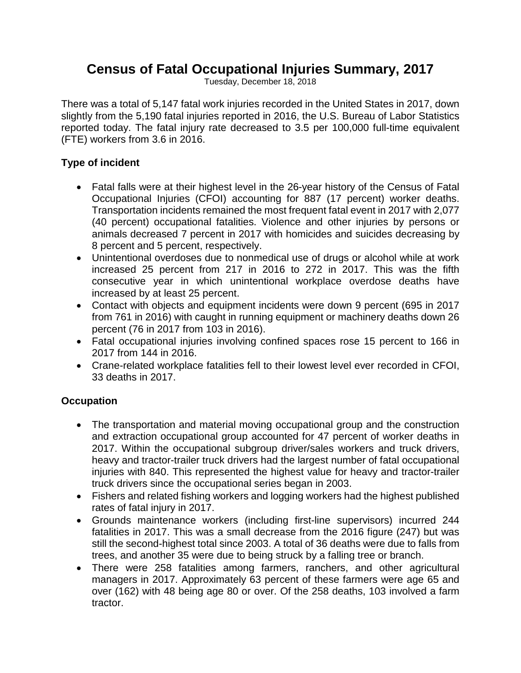## **Census of Fatal Occupational Injuries Summary, 2017**

Tuesday, December 18, 2018

There was a total of 5,147 fatal work injuries recorded in the United States in 2017, down slightly from the 5,190 fatal injuries reported in 2016, the U.S. Bureau of Labor Statistics reported today. The fatal injury rate decreased to 3.5 per 100,000 full-time equivalent (FTE) workers from 3.6 in 2016.

## **Type of incident**

- Fatal falls were at their highest level in the 26-year history of the Census of Fatal Occupational Injuries (CFOI) accounting for 887 (17 percent) worker deaths. Transportation incidents remained the most frequent fatal event in 2017 with 2,077 (40 percent) occupational fatalities. Violence and other injuries by persons or animals decreased 7 percent in 2017 with homicides and suicides decreasing by 8 percent and 5 percent, respectively.
- Unintentional overdoses due to nonmedical use of drugs or alcohol while at work increased 25 percent from 217 in 2016 to 272 in 2017. This was the fifth consecutive year in which unintentional workplace overdose deaths have increased by at least 25 percent.
- Contact with objects and equipment incidents were down 9 percent (695 in 2017 from 761 in 2016) with caught in running equipment or machinery deaths down 26 percent (76 in 2017 from 103 in 2016).
- Fatal occupational injuries involving confined spaces rose 15 percent to 166 in 2017 from 144 in 2016.
- Crane-related workplace fatalities fell to their lowest level ever recorded in CFOI, 33 deaths in 2017.

## **Occupation**

- The transportation and material moving occupational group and the construction and extraction occupational group accounted for 47 percent of worker deaths in 2017. Within the occupational subgroup driver/sales workers and truck drivers, heavy and tractor-trailer truck drivers had the largest number of fatal occupational injuries with 840. This represented the highest value for heavy and tractor-trailer truck drivers since the occupational series began in 2003.
- Fishers and related fishing workers and logging workers had the highest published rates of fatal injury in 2017.
- Grounds maintenance workers (including first-line supervisors) incurred 244 fatalities in 2017. This was a small decrease from the 2016 figure (247) but was still the second-highest total since 2003. A total of 36 deaths were due to falls from trees, and another 35 were due to being struck by a falling tree or branch.
- There were 258 fatalities among farmers, ranchers, and other agricultural managers in 2017. Approximately 63 percent of these farmers were age 65 and over (162) with 48 being age 80 or over. Of the 258 deaths, 103 involved a farm tractor.